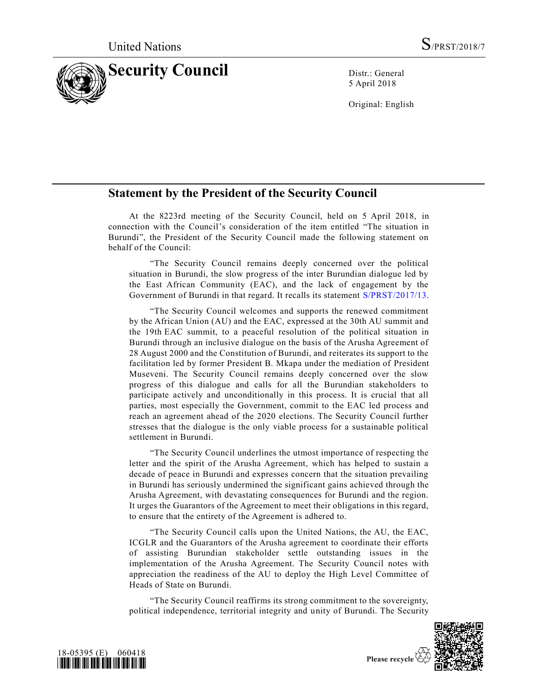

5 April 2018

Original: English

## **Statement by the President of the Security Council**

At the 8223rd meeting of the Security Council, held on 5 April 2018, in connection with the Council's consideration of the item entitled "The situation in Burundi", the President of the Security Council made the following statement on behalf of the Council:

"The Security Council remains deeply concerned over the political situation in Burundi, the slow progress of the inter Burundian dialogue led by the East African Community (EAC), and the lack of engagement by the Government of Burundi in that regard. It recalls its statement [S/PRST/2017/13.](https://undocs.org/S/PRST/2017/13)

"The Security Council welcomes and supports the renewed commitment by the African Union (AU) and the EAC, expressed at the 30th AU summit and the 19th EAC summit, to a peaceful resolution of the political situation in Burundi through an inclusive dialogue on the basis of the Arusha Agreement of 28 August 2000 and the Constitution of Burundi, and reiterates its support to the facilitation led by former President B. Mkapa under the mediation of President Museveni. The Security Council remains deeply concerned over the slow progress of this dialogue and calls for all the Burundian stakeholders to participate actively and unconditionally in this process. It is crucial that all parties, most especially the Government, commit to the EAC led process and reach an agreement ahead of the 2020 elections. The Security Council further stresses that the dialogue is the only viable process for a sustainable political settlement in Burundi.

"The Security Council underlines the utmost importance of respecting the letter and the spirit of the Arusha Agreement, which has helped to sustain a decade of peace in Burundi and expresses concern that the situation prevailing in Burundi has seriously undermined the significant gains achieved through the Arusha Agreement, with devastating consequences for Burundi and the region. It urges the Guarantors of the Agreement to meet their obligations in this regard, to ensure that the entirety of the Agreement is adhered to.

"The Security Council calls upon the United Nations, the AU, the EAC, ICGLR and the Guarantors of the Arusha agreement to coordinate their efforts of assisting Burundian stakeholder settle outstanding issues in the implementation of the Arusha Agreement. The Security Council notes with appreciation the readiness of the AU to deploy the High Level Committee of Heads of State on Burundi.

"The Security Council reaffirms its strong commitment to the sovereignty, political independence, territorial integrity and unity of Burundi. The Security



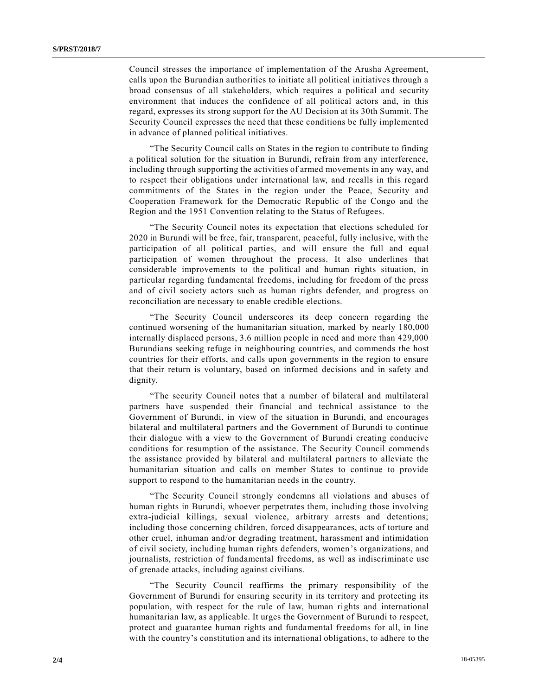Council stresses the importance of implementation of the Arusha Agreement, calls upon the Burundian authorities to initiate all political initiatives through a broad consensus of all stakeholders, which requires a political and security environment that induces the confidence of all political actors and, in this regard, expresses its strong support for the AU Decision at its 30th Summit. The Security Council expresses the need that these conditions be fully implemented in advance of planned political initiatives.

"The Security Council calls on States in the region to contribute to finding a political solution for the situation in Burundi, refrain from any interference, including through supporting the activities of armed movements in any way, and to respect their obligations under international law, and recalls in this regard commitments of the States in the region under the Peace, Security and Cooperation Framework for the Democratic Republic of the Congo and the Region and the 1951 Convention relating to the Status of Refugees.

"The Security Council notes its expectation that elections scheduled for 2020 in Burundi will be free, fair, transparent, peaceful, fully inclusive, with the participation of all political parties, and will ensure the full and equal participation of women throughout the process. It also underlines that considerable improvements to the political and human rights situation, in particular regarding fundamental freedoms, including for freedom of the press and of civil society actors such as human rights defender, and progress on reconciliation are necessary to enable credible elections.

"The Security Council underscores its deep concern regarding the continued worsening of the humanitarian situation, marked by nearly 180,000 internally displaced persons, 3.6 million people in need and more than 429,000 Burundians seeking refuge in neighbouring countries, and commends the host countries for their efforts, and calls upon governments in the region to ensure that their return is voluntary, based on informed decisions and in safety and dignity.

"The security Council notes that a number of bilateral and multilateral partners have suspended their financial and technical assistance to the Government of Burundi, in view of the situation in Burundi, and encourages bilateral and multilateral partners and the Government of Burundi to continue their dialogue with a view to the Government of Burundi creating conducive conditions for resumption of the assistance. The Security Council commends the assistance provided by bilateral and multilateral partners to alleviate the humanitarian situation and calls on member States to continue to provide support to respond to the humanitarian needs in the country.

"The Security Council strongly condemns all violations and abuses of human rights in Burundi, whoever perpetrates them, including those involving extra-judicial killings, sexual violence, arbitrary arrests and detentions; including those concerning children, forced disappearances, acts of torture and other cruel, inhuman and/or degrading treatment, harassment and intimidation of civil society, including human rights defenders, women's organizations, and journalists, restriction of fundamental freedoms, as well as indiscriminate use of grenade attacks, including against civilians.

"The Security Council reaffirms the primary responsibility of the Government of Burundi for ensuring security in its territory and protecting its population, with respect for the rule of law, human rights and international humanitarian law, as applicable. It urges the Government of Burundi to respect, protect and guarantee human rights and fundamental freedoms for all, in line with the country's constitution and its international obligations, to adhere to the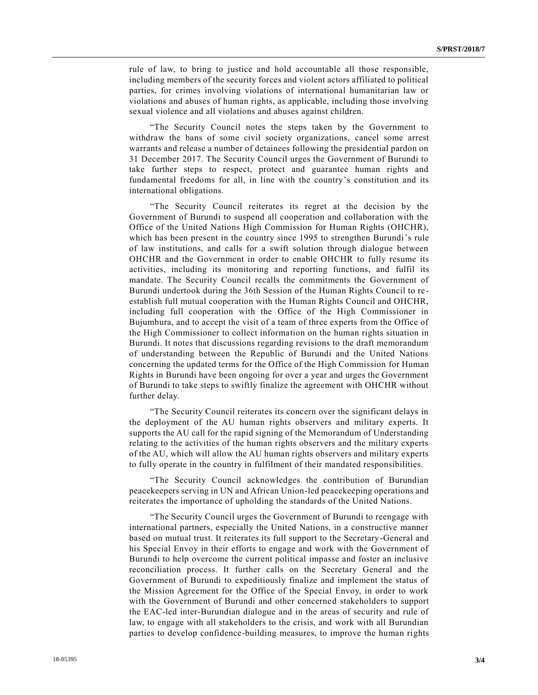rule of law, to bring to justice and hold accountable all those responsible, including members of the security forces and violent actors affiliated to political parties, for crimes involving violations of international humanitarian law or violations and abuses of human rights, as applicable, including those involving sexual violence and all violations and abuses against children.

"The Security Council notes the steps taken by the Government to withdraw the bans of some civil society organizations, cancel some arrest warrants and release a number of detainees following the presidential pardon on 31 December 2017. The Security Council urges the Government of Burundi to take further steps to respect, protect and guarantee human rights and fundamental freedoms for all, in line with the country's constitution and its international obligations.

"The Security Council reiterates its regret at the decision by the Government of Burundi to suspend all cooperation and collaboration with the Office of the United Nations High Commission for Human Rights (OHCHR), which has been present in the country since 1995 to strengthen Burundi's rule of law institutions, and calls for a swift solution through dialogue between OHCHR and the Government in order to enable OHCHR to fully resume its activities, including its monitoring and reporting functions, and fulfil its mandate. The Security Council recalls the commitments the Government of Burundi undertook during the 36th Session of the Human Rights Council to re establish full mutual cooperation with the Human Rights Council and OHCHR, including full cooperation with the Office of the High Commissioner in Bujumbura, and to accept the visit of a team of three experts from the Office of the High Commissioner to collect information on the human rights situation in Burundi. It notes that discussions regarding revisions to the draft memorandum of understanding between the Republic of Burundi and the United Nations concerning the updated terms for the Office of the High Commission for Human Rights in Burundi have been ongoing for over a year and urges the Government of Burundi to take steps to swiftly finalize the agreement with OHCHR without further delay.

"The Security Council reiterates its concern over the significant delays in the deployment of the AU human rights observers and military experts. It supports the AU call for the rapid signing of the Memorandum of Understanding relating to the activities of the human rights observers and the military experts of the AU, which will allow the AU human rights observers and military experts to fully operate in the country in fulfilment of their mandated responsibilities.

"The Security Council acknowledges the contribution of Burundian peacekeepers serving in UN and African Union-led peacekeeping operations and reiterates the importance of upholding the standards of the United Nations.

"The Security Council urges the Government of Burundi to reengage with international partners, especially the United Nations, in a constructive manner based on mutual trust. It reiterates its full support to the Secretary-General and his Special Envoy in their efforts to engage and work with the Government of Burundi to help overcome the current political impasse and foster an inclusive reconciliation process. It further calls on the Secretary General and the Government of Burundi to expeditiously finalize and implement the status of the Mission Agreement for the Office of the Special Envoy, in order to work with the Government of Burundi and other concerned stakeholders to support the EAC-led inter-Burundian dialogue and in the areas of security and rule of law, to engage with all stakeholders to the crisis, and work with all Burundian parties to develop confidence-building measures, to improve the human rights